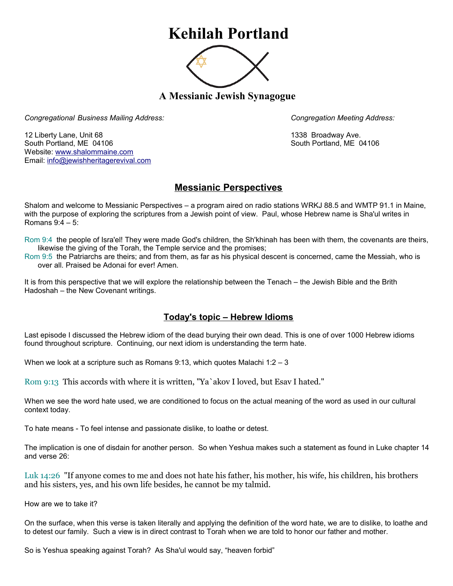## **Kehilah Portland**



**A Messianic Jewish Synagogue** 

*Congregational Business Mailing Address: Congregation Meeting Address:*

12 Liberty Lane, Unit 68 1338 Broadway Ave. South Portland, ME 04106 South Portland, ME 04106 Website: [www.shalommaine.com](http://www.shalommaine.com/) Email: [info@jewishheritagerevival.com](mailto:info@jewishheritagerevival.com) 

## **Messianic Perspectives**

Shalom and welcome to Messianic Perspectives – a program aired on radio stations WRKJ 88.5 and WMTP 91.1 in Maine, with the purpose of exploring the scriptures from a Jewish point of view. Paul, whose Hebrew name is Sha'ul writes in Romans 9:4 – 5:

Rom 9:4 the people of Isra'el! They were made God's children, the Sh'khinah has been with them, the covenants are theirs, likewise the giving of the Torah, the Temple service and the promises;

Rom 9:5 the Patriarchs are theirs; and from them, as far as his physical descent is concerned, came the Messiah, who is over all. Praised be Adonai for ever! Amen.

It is from this perspective that we will explore the relationship between the Tenach – the Jewish Bible and the Brith Hadoshah – the New Covenant writings.

## **Today's topic – Hebrew Idioms**

Last episode I discussed the Hebrew idiom of the dead burying their own dead. This is one of over 1000 Hebrew idioms found throughout scripture. Continuing, our next idiom is understanding the term hate.

When we look at a scripture such as Romans 9:13, which quotes Malachi 1:2 – 3

Rom 9:13 This accords with where it is written, "Ya`akov I loved, but Esav I hated."

When we see the word hate used, we are conditioned to focus on the actual meaning of the word as used in our cultural context today.

To hate means - To feel intense and passionate dislike, to loathe or detest.

The implication is one of disdain for another person. So when Yeshua makes such a statement as found in Luke chapter 14 and verse 26:

Luk 14:26 "If anyone comes to me and does not hate his father, his mother, his wife, his children, his brothers and his sisters, yes, and his own life besides, he cannot be my talmid.

How are we to take it?

On the surface, when this verse is taken literally and applying the definition of the word hate, we are to dislike, to loathe and to detest our family. Such a view is in direct contrast to Torah when we are told to honor our father and mother.

So is Yeshua speaking against Torah? As Sha'ul would say, "heaven forbid"